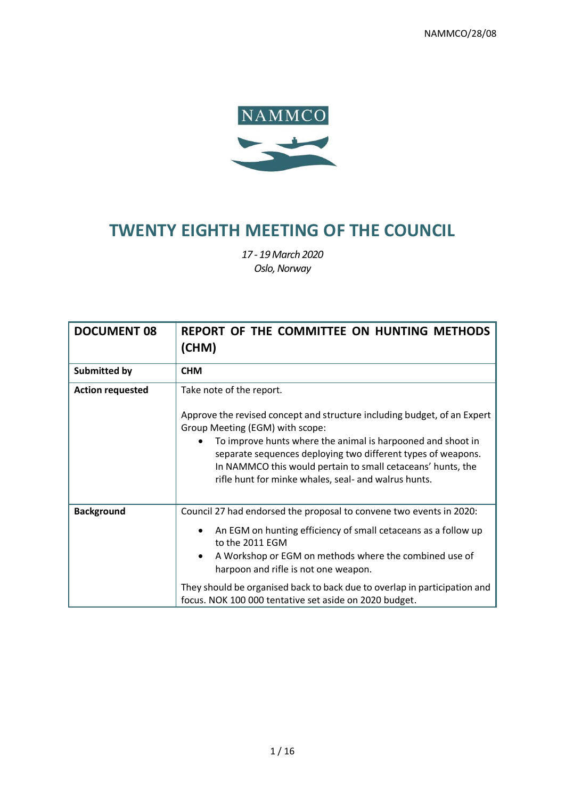

# **TWENTY EIGHTH MEETING OF THE COUNCIL**

*17 - 19March 2020 Oslo, Norway*

| <b>DOCUMENT 08</b>      | REPORT OF THE COMMITTEE ON HUNTING METHODS<br>(CHM)                                                                                                                                                                                                                                                                                                                                               |
|-------------------------|---------------------------------------------------------------------------------------------------------------------------------------------------------------------------------------------------------------------------------------------------------------------------------------------------------------------------------------------------------------------------------------------------|
| <b>Submitted by</b>     | <b>CHM</b>                                                                                                                                                                                                                                                                                                                                                                                        |
| <b>Action requested</b> | Take note of the report.<br>Approve the revised concept and structure including budget, of an Expert<br>Group Meeting (EGM) with scope:<br>To improve hunts where the animal is harpooned and shoot in<br>separate sequences deploying two different types of weapons.<br>In NAMMCO this would pertain to small cetaceans' hunts, the<br>rifle hunt for minke whales, seal- and walrus hunts.     |
| <b>Background</b>       | Council 27 had endorsed the proposal to convene two events in 2020:<br>An EGM on hunting efficiency of small cetaceans as a follow up<br>to the 2011 EGM<br>A Workshop or EGM on methods where the combined use of<br>harpoon and rifle is not one weapon.<br>They should be organised back to back due to overlap in participation and<br>focus. NOK 100 000 tentative set aside on 2020 budget. |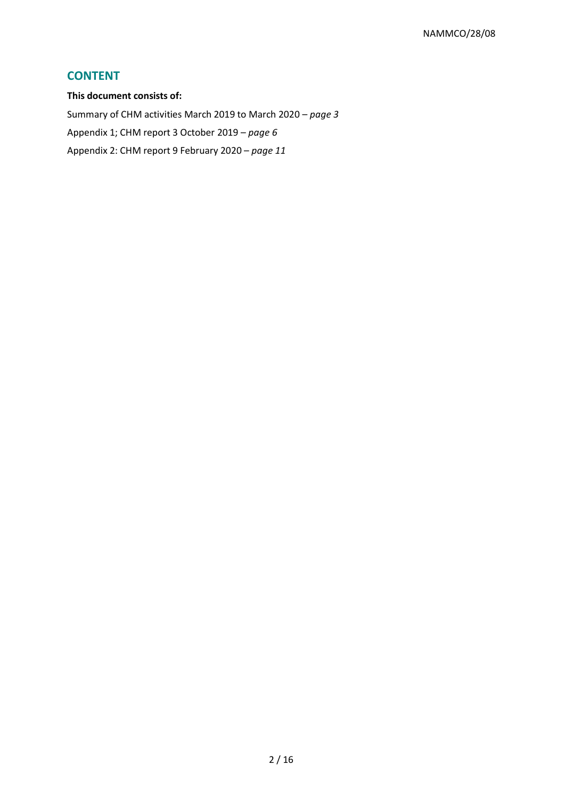# **CONTENT**

**This document consists of:**  Summary of CHM activities March 2019 to March 2020 – *page 3* Appendix 1; CHM report 3 October 2019 – *page 6* Appendix 2: CHM report 9 February 2020 – *page 11*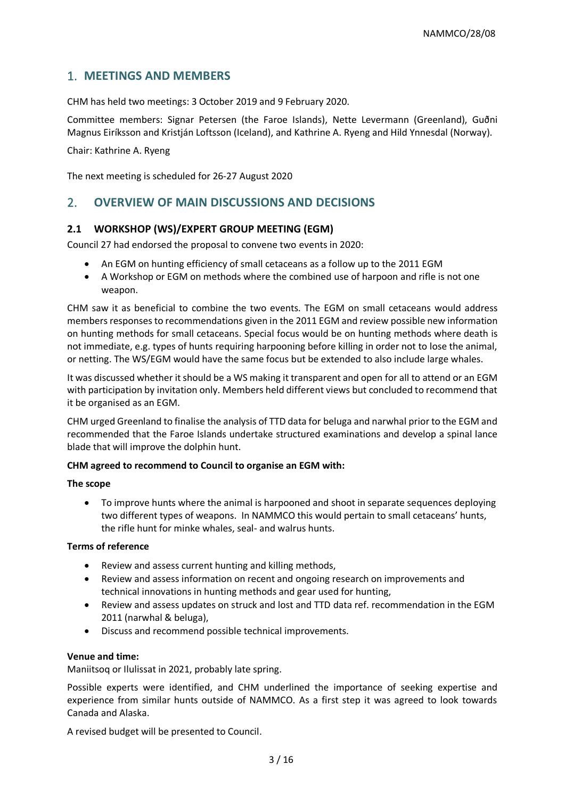# 1. **MEETINGS AND MEMBERS**

CHM has held two meetings: 3 October 2019 and 9 February 2020.

Committee members: Signar Petersen (the Faroe Islands), Nette Levermann (Greenland), Guðni Magnus Eiríksson and Kristján Loftsson (Iceland), and Kathrine A. Ryeng and Hild Ynnesdal (Norway).

Chair: Kathrine A. Ryeng

The next meeting is scheduled for 26-27 August 2020

# 2. **OVERVIEW OF MAIN DISCUSSIONS AND DECISIONS**

# **2.1 WORKSHOP (WS)/EXPERT GROUP MEETING (EGM)**

Council 27 had endorsed the proposal to convene two events in 2020:

- An EGM on hunting efficiency of small cetaceans as a follow up to the 2011 EGM
- A Workshop or EGM on methods where the combined use of harpoon and rifle is not one weapon.

CHM saw it as beneficial to combine the two events. The EGM on small cetaceans would address members responses to recommendations given in the 2011 EGM and review possible new information on hunting methods for small cetaceans. Special focus would be on hunting methods where death is not immediate, e.g. types of hunts requiring harpooning before killing in order not to lose the animal, or netting. The WS/EGM would have the same focus but be extended to also include large whales.

It was discussed whether it should be a WS making it transparent and open for all to attend or an EGM with participation by invitation only. Members held different views but concluded to recommend that it be organised as an EGM.

CHM urged Greenland to finalise the analysis of TTD data for beluga and narwhal prior to the EGM and recommended that the Faroe Islands undertake structured examinations and develop a spinal lance blade that will improve the dolphin hunt.

### **CHM agreed to recommend to Council to organise an EGM with:**

### **The scope**

• To improve hunts where the animal is harpooned and shoot in separate sequences deploying two different types of weapons. In NAMMCO this would pertain to small cetaceans' hunts, the rifle hunt for minke whales, seal- and walrus hunts.

### **Terms of reference**

- Review and assess current hunting and killing methods,
- Review and assess information on recent and ongoing research on improvements and technical innovations in hunting methods and gear used for hunting,
- Review and assess updates on struck and lost and TTD data ref. recommendation in the EGM 2011 (narwhal & beluga),
- Discuss and recommend possible technical improvements.

### **Venue and time:**

Maniitsoq or Ilulissat in 2021, probably late spring.

Possible experts were identified, and CHM underlined the importance of seeking expertise and experience from similar hunts outside of NAMMCO. As a first step it was agreed to look towards Canada and Alaska.

A revised budget will be presented to Council.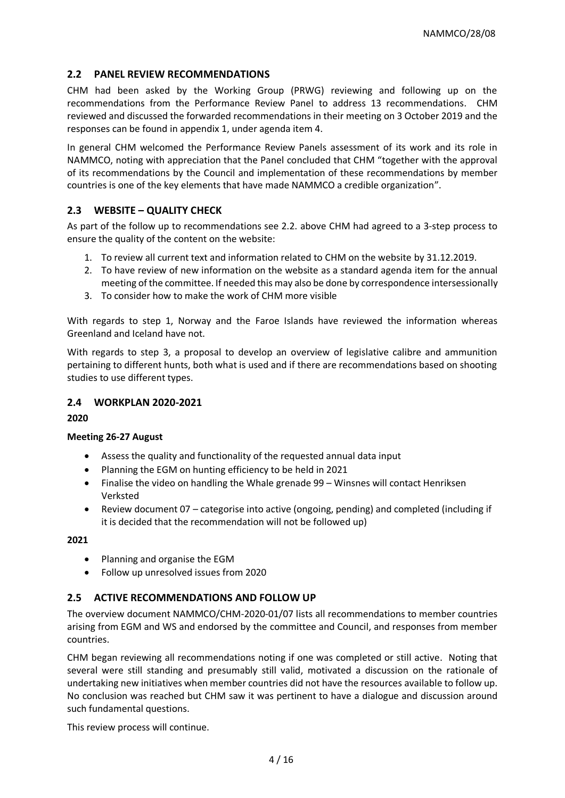# **2.2 PANEL REVIEW RECOMMENDATIONS**

CHM had been asked by the Working Group (PRWG) reviewing and following up on the recommendations from the Performance Review Panel to address 13 recommendations. CHM reviewed and discussed the forwarded recommendations in their meeting on 3 October 2019 and the responses can be found in appendix 1, under agenda item 4.

In general CHM welcomed the Performance Review Panels assessment of its work and its role in NAMMCO, noting with appreciation that the Panel concluded that CHM "together with the approval of its recommendations by the Council and implementation of these recommendations by member countries is one of the key elements that have made NAMMCO a credible organization".

# **2.3 WEBSITE – QUALITY CHECK**

As part of the follow up to recommendations see 2.2. above CHM had agreed to a 3-step process to ensure the quality of the content on the website:

- 1. To review all current text and information related to CHM on the website by 31.12.2019.
- 2. To have review of new information on the website as a standard agenda item for the annual meeting of the committee. If needed this may also be done by correspondence intersessionally
- 3. To consider how to make the work of CHM more visible

With regards to step 1, Norway and the Faroe Islands have reviewed the information whereas Greenland and Iceland have not.

With regards to step 3, a proposal to develop an overview of legislative calibre and ammunition pertaining to different hunts, both what is used and if there are recommendations based on shooting studies to use different types.

### **2.4 WORKPLAN 2020-2021**

**2020**

### **Meeting 26-27 August**

- Assess the quality and functionality of the requested annual data input
- Planning the EGM on hunting efficiency to be held in 2021
- Finalise the video on handling the Whale grenade 99 Winsnes will contact Henriksen Verksted
- Review document 07 categorise into active (ongoing, pending) and completed (including if it is decided that the recommendation will not be followed up)

### **2021**

- Planning and organise the EGM
- Follow up unresolved issues from 2020

# **2.5 ACTIVE RECOMMENDATIONS AND FOLLOW UP**

The overview document NAMMCO/CHM-2020-01/07 lists all recommendations to member countries arising from EGM and WS and endorsed by the committee and Council, and responses from member countries.

CHM began reviewing all recommendations noting if one was completed or still active. Noting that several were still standing and presumably still valid, motivated a discussion on the rationale of undertaking new initiatives when member countries did not have the resources available to follow up. No conclusion was reached but CHM saw it was pertinent to have a dialogue and discussion around such fundamental questions.

This review process will continue.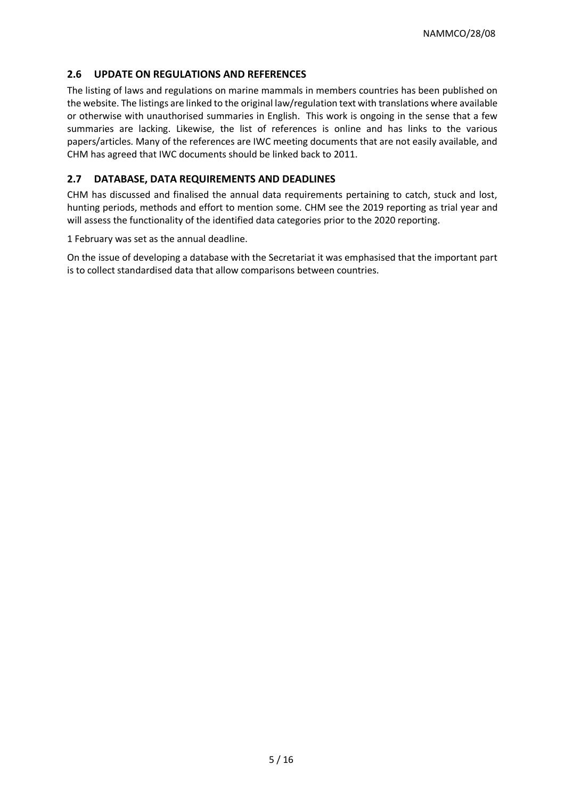# **2.6 UPDATE ON REGULATIONS AND REFERENCES**

The listing of laws and regulations on marine mammals in members countries has been published on the website. The listings are linked to the original law/regulation text with translations where available or otherwise with unauthorised summaries in English. This work is ongoing in the sense that a few summaries are lacking. Likewise, the list of references is online and has links to the various papers/articles. Many of the references are IWC meeting documents that are not easily available, and CHM has agreed that IWC documents should be linked back to 2011.

# **2.7 DATABASE, DATA REQUIREMENTS AND DEADLINES**

CHM has discussed and finalised the annual data requirements pertaining to catch, stuck and lost, hunting periods, methods and effort to mention some. CHM see the 2019 reporting as trial year and will assess the functionality of the identified data categories prior to the 2020 reporting.

1 February was set as the annual deadline.

On the issue of developing a database with the Secretariat it was emphasised that the important part is to collect standardised data that allow comparisons between countries.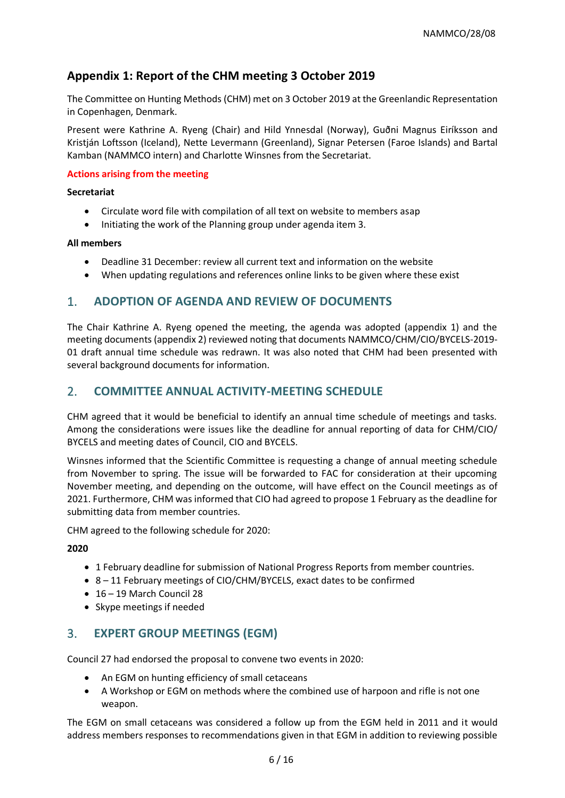# **Appendix 1: Report of the CHM meeting 3 October 2019**

The Committee on Hunting Methods (CHM) met on 3 October 2019 at the Greenlandic Representation in Copenhagen, Denmark.

Present were Kathrine A. Ryeng (Chair) and Hild Ynnesdal (Norway), Guðni Magnus Eiríksson and Kristján Loftsson (Iceland), Nette Levermann (Greenland), Signar Petersen (Faroe Islands) and Bartal Kamban (NAMMCO intern) and Charlotte Winsnes from the Secretariat.

### **Actions arising from the meeting**

### **Secretariat**

- Circulate word file with compilation of all text on website to members asap
- Initiating the work of the Planning group under agenda item 3.

### **All members**

- Deadline 31 December: review all current text and information on the website
- When updating regulations and references online links to be given where these exist

# 1. **ADOPTION OF AGENDA AND REVIEW OF DOCUMENTS**

The Chair Kathrine A. Ryeng opened the meeting, the agenda was adopted (appendix 1) and the meeting documents (appendix 2) reviewed noting that documents NAMMCO/CHM/CIO/BYCELS-2019- 01 draft annual time schedule was redrawn. It was also noted that CHM had been presented with several background documents for information.

# 2. **COMMITTEE ANNUAL ACTIVITY-MEETING SCHEDULE**

CHM agreed that it would be beneficial to identify an annual time schedule of meetings and tasks. Among the considerations were issues like the deadline for annual reporting of data for CHM/CIO/ BYCELS and meeting dates of Council, CIO and BYCELS.

Winsnes informed that the Scientific Committee is requesting a change of annual meeting schedule from November to spring. The issue will be forwarded to FAC for consideration at their upcoming November meeting, and depending on the outcome, will have effect on the Council meetings as of 2021. Furthermore, CHM was informed that CIO had agreed to propose 1 February as the deadline for submitting data from member countries.

CHM agreed to the following schedule for 2020:

### **2020**

- 1 February deadline for submission of National Progress Reports from member countries.
- 8 11 February meetings of CIO/CHM/BYCELS, exact dates to be confirmed
- 16 19 March Council 28
- Skype meetings if needed

# 3. **EXPERT GROUP MEETINGS (EGM)**

Council 27 had endorsed the proposal to convene two events in 2020:

- An EGM on hunting efficiency of small cetaceans
- A Workshop or EGM on methods where the combined use of harpoon and rifle is not one weapon.

The EGM on small cetaceans was considered a follow up from the EGM held in 2011 and it would address members responses to recommendations given in that EGM in addition to reviewing possible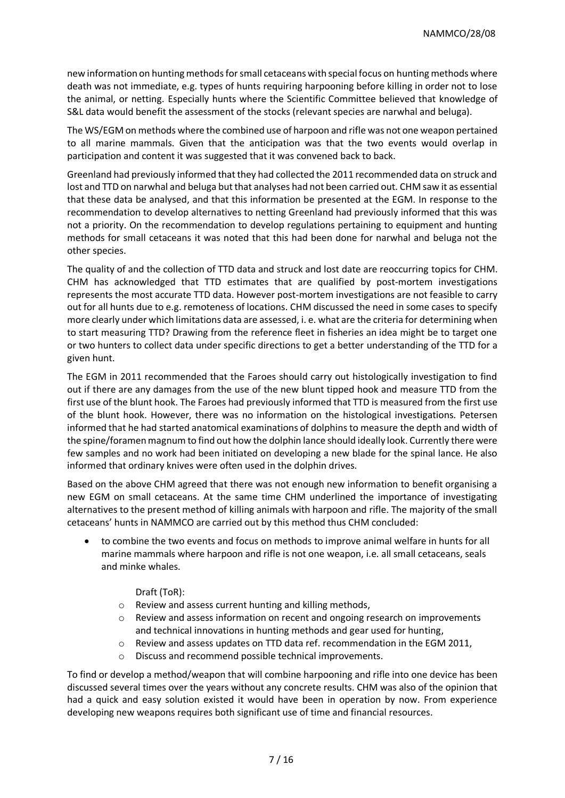new information on hunting methods for small cetaceans with special focus on hunting methods where death was not immediate, e.g. types of hunts requiring harpooning before killing in order not to lose the animal, or netting. Especially hunts where the Scientific Committee believed that knowledge of S&L data would benefit the assessment of the stocks (relevant species are narwhal and beluga).

The WS/EGM on methods where the combined use of harpoon and rifle was not one weapon pertained to all marine mammals. Given that the anticipation was that the two events would overlap in participation and content it was suggested that it was convened back to back.

Greenland had previously informed that they had collected the 2011 recommended data on struck and lost and TTD on narwhal and beluga but that analyses had not been carried out. CHM saw it as essential that these data be analysed, and that this information be presented at the EGM. In response to the recommendation to develop alternatives to netting Greenland had previously informed that this was not a priority. On the recommendation to develop regulations pertaining to equipment and hunting methods for small cetaceans it was noted that this had been done for narwhal and beluga not the other species.

The quality of and the collection of TTD data and struck and lost date are reoccurring topics for CHM. CHM has acknowledged that TTD estimates that are qualified by post-mortem investigations represents the most accurate TTD data. However post-mortem investigations are not feasible to carry out for all hunts due to e.g. remoteness of locations. CHM discussed the need in some cases to specify more clearly under which limitations data are assessed, i. e. what are the criteria for determining when to start measuring TTD? Drawing from the reference fleet in fisheries an idea might be to target one or two hunters to collect data under specific directions to get a better understanding of the TTD for a given hunt.

The EGM in 2011 recommended that the Faroes should carry out histologically investigation to find out if there are any damages from the use of the new blunt tipped hook and measure TTD from the first use of the blunt hook. The Faroes had previously informed that TTD is measured from the first use of the blunt hook. However, there was no information on the histological investigations. Petersen informed that he had started anatomical examinations of dolphins to measure the depth and width of the spine/foramen magnum to find out how the dolphin lance should ideally look. Currently there were few samples and no work had been initiated on developing a new blade for the spinal lance. He also informed that ordinary knives were often used in the dolphin drives.

Based on the above CHM agreed that there was not enough new information to benefit organising a new EGM on small cetaceans. At the same time CHM underlined the importance of investigating alternatives to the present method of killing animals with harpoon and rifle. The majority of the small cetaceans' hunts in NAMMCO are carried out by this method thus CHM concluded:

- to combine the two events and focus on methods to improve animal welfare in hunts for all marine mammals where harpoon and rifle is not one weapon, i.e. all small cetaceans, seals and minke whales.
	- Draft (ToR):
	- o Review and assess current hunting and killing methods,
	- o Review and assess information on recent and ongoing research on improvements and technical innovations in hunting methods and gear used for hunting,
	- $\circ$  Review and assess updates on TTD data ref. recommendation in the EGM 2011,
	- Discuss and recommend possible technical improvements.

To find or develop a method/weapon that will combine harpooning and rifle into one device has been discussed several times over the years without any concrete results. CHM was also of the opinion that had a quick and easy solution existed it would have been in operation by now. From experience developing new weapons requires both significant use of time and financial resources.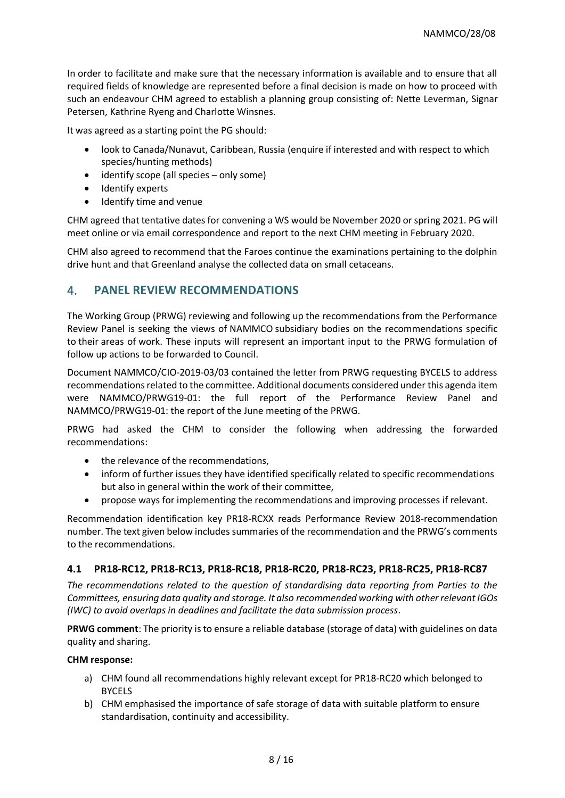In order to facilitate and make sure that the necessary information is available and to ensure that all required fields of knowledge are represented before a final decision is made on how to proceed with such an endeavour CHM agreed to establish a planning group consisting of: Nette Leverman, Signar Petersen, Kathrine Ryeng and Charlotte Winsnes.

It was agreed as a starting point the PG should:

- look to Canada/Nunavut, Caribbean, Russia (enquire if interested and with respect to which species/hunting methods)
- identify scope (all species only some)
- Identify experts
- Identify time and venue

CHM agreed that tentative dates for convening a WS would be November 2020 or spring 2021. PG will meet online or via email correspondence and report to the next CHM meeting in February 2020.

CHM also agreed to recommend that the Faroes continue the examinations pertaining to the dolphin drive hunt and that Greenland analyse the collected data on small cetaceans.

# 4. **PANEL REVIEW RECOMMENDATIONS**

The Working Group (PRWG) reviewing and following up the recommendations from the Performance Review Panel is seeking the views of NAMMCO subsidiary bodies on the recommendations specific to their areas of work. These inputs will represent an important input to the PRWG formulation of follow up actions to be forwarded to Council.

Document NAMMCO/CIO-2019-03/03 contained the letter from PRWG requesting BYCELS to address recommendations related to the committee. Additional documents considered under this agenda item were NAMMCO/PRWG19-01: the full report of the Performance Review Panel and NAMMCO/PRWG19-01: the report of the June meeting of the PRWG.

PRWG had asked the CHM to consider the following when addressing the forwarded recommendations:

- the relevance of the recommendations,
- inform of further issues they have identified specifically related to specific recommendations but also in general within the work of their committee,
- propose ways for implementing the recommendations and improving processes if relevant.

Recommendation identification key PR18-RCXX reads Performance Review 2018-recommendation number. The text given below includes summaries of the recommendation and the PRWG's comments to the recommendations.

### **4.1 PR18-RC12, PR18-RC13, PR18-RC18, PR18-RC20, PR18-RC23, PR18-RC25, PR18-RC87**

*The recommendations related to the question of standardising data reporting from Parties to the Committees, ensuring data quality and storage. It also recommended working with other relevant IGOs (IWC) to avoid overlaps in deadlines and facilitate the data submission process.* 

**PRWG comment**: The priority is to ensure a reliable database (storage of data) with guidelines on data quality and sharing.

### **CHM response:**

- a) CHM found all recommendations highly relevant except for PR18-RC20 which belonged to **BYCELS**
- b) CHM emphasised the importance of safe storage of data with suitable platform to ensure standardisation, continuity and accessibility.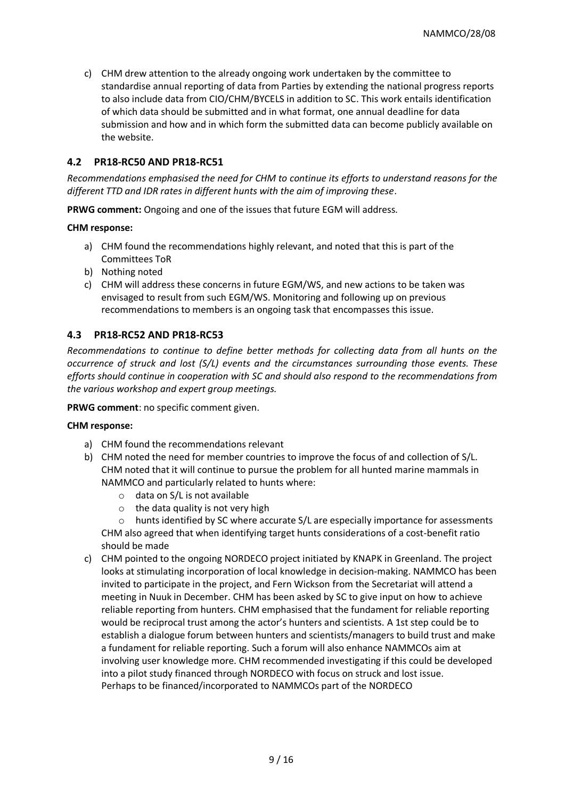c) CHM drew attention to the already ongoing work undertaken by the committee to standardise annual reporting of data from Parties by extending the national progress reports to also include data from CIO/CHM/BYCELS in addition to SC. This work entails identification of which data should be submitted and in what format, one annual deadline for data submission and how and in which form the submitted data can become publicly available on the website.

### **4.2 PR18-RC50 AND PR18-RC51**

*Recommendations emphasised the need for CHM to continue its efforts to understand reasons for the different TTD and IDR rates in different hunts with the aim of improving these*.

**PRWG comment:** Ongoing and one of the issues that future EGM will address.

#### **CHM response:**

- a) CHM found the recommendations highly relevant, and noted that this is part of the Committees ToR
- b) Nothing noted
- c) CHM will address these concerns in future EGM/WS, and new actions to be taken was envisaged to result from such EGM/WS. Monitoring and following up on previous recommendations to members is an ongoing task that encompasses this issue.

# **4.3 PR18-RC52 AND PR18-RC53**

*Recommendations to continue to define better methods for collecting data from all hunts on the occurrence of struck and lost (S/L) events and the circumstances surrounding those events. These efforts should continue in cooperation with SC and should also respond to the recommendations from the various workshop and expert group meetings.* 

**PRWG comment**: no specific comment given.

#### **CHM response:**

- a) CHM found the recommendations relevant
- b) CHM noted the need for member countries to improve the focus of and collection of S/L. CHM noted that it will continue to pursue the problem for all hunted marine mammals in NAMMCO and particularly related to hunts where:
	- o data on S/L is not available
	- $\circ$  the data quality is not very high

hunts identified by SC where accurate S/L are especially importance for assessments CHM also agreed that when identifying target hunts considerations of a cost-benefit ratio should be made

c) CHM pointed to the ongoing NORDECO project initiated by KNAPK in Greenland. The project looks at stimulating incorporation of local knowledge in decision-making. NAMMCO has been invited to participate in the project, and Fern Wickson from the Secretariat will attend a meeting in Nuuk in December. CHM has been asked by SC to give input on how to achieve reliable reporting from hunters. CHM emphasised that the fundament for reliable reporting would be reciprocal trust among the actor's hunters and scientists. A 1st step could be to establish a dialogue forum between hunters and scientists/managers to build trust and make a fundament for reliable reporting. Such a forum will also enhance NAMMCOs aim at involving user knowledge more. CHM recommended investigating if this could be developed into a pilot study financed through NORDECO with focus on struck and lost issue. Perhaps to be financed/incorporated to NAMMCOs part of the NORDECO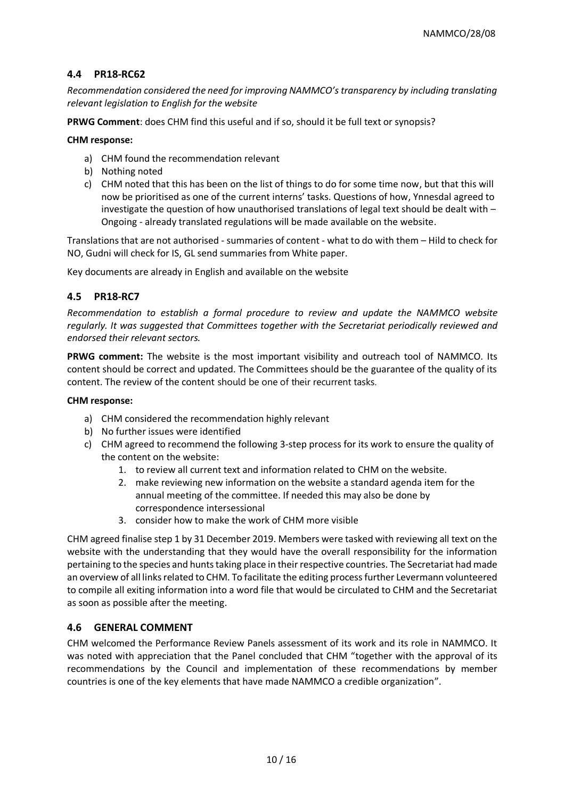# **4.4 PR18-RC62**

*Recommendation considered the need for improving NAMMCO's transparency by including translating relevant legislation to English for the website*

**PRWG Comment**: does CHM find this useful and if so, should it be full text or synopsis?

#### **CHM response:**

- a) CHM found the recommendation relevant
- b) Nothing noted
- c) CHM noted that this has been on the list of things to do for some time now, but that this will now be prioritised as one of the current interns' tasks. Questions of how, Ynnesdal agreed to investigate the question of how unauthorised translations of legal text should be dealt with – Ongoing - already translated regulations will be made available on the website.

Translations that are not authorised - summaries of content - what to do with them – Hild to check for NO, Gudni will check for IS, GL send summaries from White paper.

Key documents are already in English and available on the website

# **4.5 PR18-RC7**

*Recommendation to establish a formal procedure to review and update the NAMMCO website regularly. It was suggested that Committees together with the Secretariat periodically reviewed and endorsed their relevant sectors.* 

**PRWG comment:** The website is the most important visibility and outreach tool of NAMMCO. Its content should be correct and updated. The Committees should be the guarantee of the quality of its content. The review of the content should be one of their recurrent tasks.

#### **CHM response:**

- a) CHM considered the recommendation highly relevant
- b) No further issues were identified
- c) CHM agreed to recommend the following 3-step process for its work to ensure the quality of the content on the website:
	- 1. to review all current text and information related to CHM on the website.
	- 2. make reviewing new information on the website a standard agenda item for the annual meeting of the committee. If needed this may also be done by correspondence intersessional
	- 3. consider how to make the work of CHM more visible

CHM agreed finalise step 1 by 31 December 2019. Members were tasked with reviewing all text on the website with the understanding that they would have the overall responsibility for the information pertaining to the species and hunts taking place in their respective countries. The Secretariat had made an overview of all links related to CHM. To facilitate the editing process further Levermann volunteered to compile all exiting information into a word file that would be circulated to CHM and the Secretariat as soon as possible after the meeting.

### **4.6 GENERAL COMMENT**

CHM welcomed the Performance Review Panels assessment of its work and its role in NAMMCO. It was noted with appreciation that the Panel concluded that CHM "together with the approval of its recommendations by the Council and implementation of these recommendations by member countries is one of the key elements that have made NAMMCO a credible organization".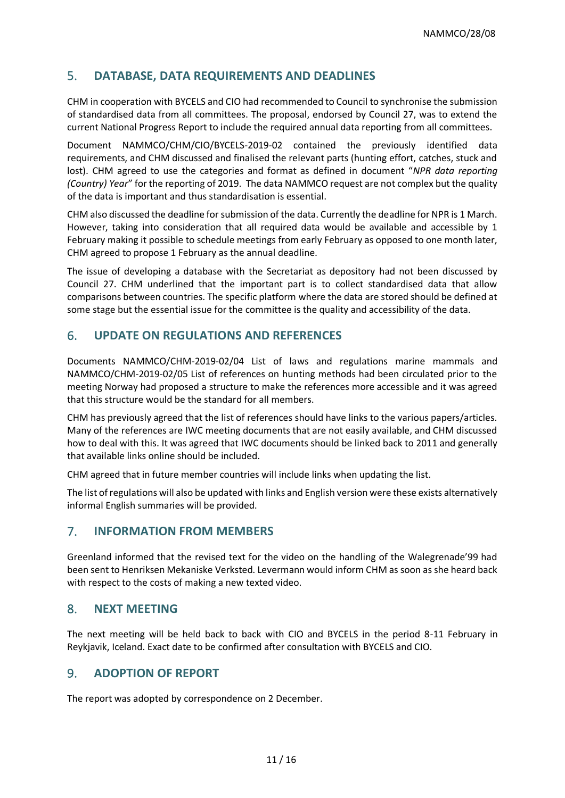# 5. **DATABASE, DATA REQUIREMENTS AND DEADLINES**

CHM in cooperation with BYCELS and CIO had recommended to Council to synchronise the submission of standardised data from all committees. The proposal, endorsed by Council 27, was to extend the current National Progress Report to include the required annual data reporting from all committees.

Document NAMMCO/CHM/CIO/BYCELS-2019-02 contained the previously identified data requirements, and CHM discussed and finalised the relevant parts (hunting effort, catches, stuck and lost). CHM agreed to use the categories and format as defined in document "*NPR data reporting (Country) Year*" for the reporting of 2019. The data NAMMCO request are not complex but the quality of the data is important and thus standardisation is essential.

CHM also discussed the deadline for submission of the data. Currently the deadline for NPR is 1 March. However, taking into consideration that all required data would be available and accessible by 1 February making it possible to schedule meetings from early February as opposed to one month later, CHM agreed to propose 1 February as the annual deadline.

The issue of developing a database with the Secretariat as depository had not been discussed by Council 27. CHM underlined that the important part is to collect standardised data that allow comparisons between countries. The specific platform where the data are stored should be defined at some stage but the essential issue for the committee is the quality and accessibility of the data.

# 6. **UPDATE ON REGULATIONS AND REFERENCES**

Documents NAMMCO/CHM-2019-02/04 List of laws and regulations marine mammals and NAMMCO/CHM-2019-02/05 List of references on hunting methods had been circulated prior to the meeting Norway had proposed a structure to make the references more accessible and it was agreed that this structure would be the standard for all members.

CHM has previously agreed that the list of references should have links to the various papers/articles. Many of the references are IWC meeting documents that are not easily available, and CHM discussed how to deal with this. It was agreed that IWC documents should be linked back to 2011 and generally that available links online should be included.

CHM agreed that in future member countries will include links when updating the list.

The list of regulations will also be updated with links and English version were these exists alternatively informal English summaries will be provided.

# 7. **INFORMATION FROM MEMBERS**

Greenland informed that the revised text for the video on the handling of the Walegrenade'99 had been sent to Henriksen Mekaniske Verksted. Levermann would inform CHM as soon as she heard back with respect to the costs of making a new texted video.

# 8. **NEXT MEETING**

The next meeting will be held back to back with CIO and BYCELS in the period 8-11 February in Reykjavik, Iceland. Exact date to be confirmed after consultation with BYCELS and CIO.

# 9. **ADOPTION OF REPORT**

The report was adopted by correspondence on 2 December.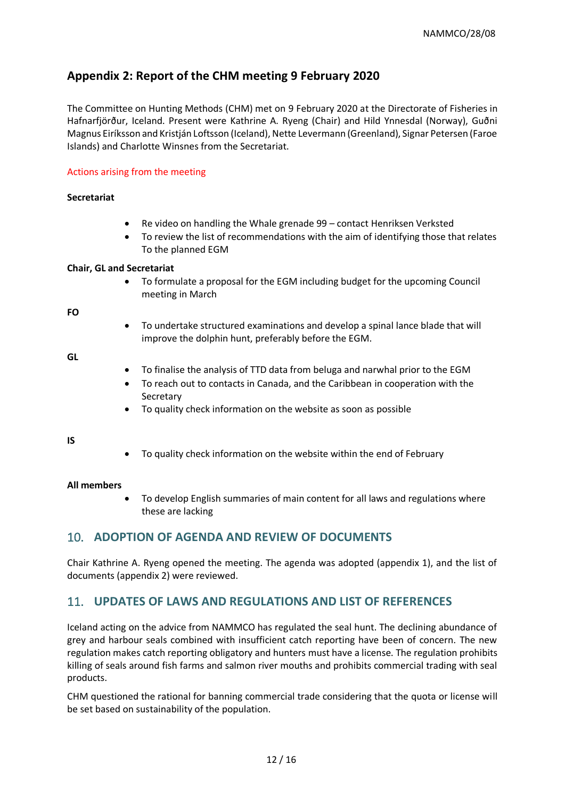# **Appendix 2: Report of the CHM meeting 9 February 2020**

The Committee on Hunting Methods (CHM) met on 9 February 2020 at the Directorate of Fisheries in Hafnarfjörður, Iceland. Present were Kathrine A. Ryeng (Chair) and Hild Ynnesdal (Norway), Guðni Magnus Eiríksson and Kristján Loftsson (Iceland), Nette Levermann (Greenland), Signar Petersen (Faroe Islands) and Charlotte Winsnes from the Secretariat.

### Actions arising from the meeting

### **Secretariat**

- Re video on handling the Whale grenade 99 contact Henriksen Verksted
- To review the list of recommendations with the aim of identifying those that relates To the planned EGM

### **Chair, GL and Secretariat**

• To formulate a proposal for the EGM including budget for the upcoming Council meeting in March

**FO**

• To undertake structured examinations and develop a spinal lance blade that will improve the dolphin hunt, preferably before the EGM.

**GL**

- To finalise the analysis of TTD data from beluga and narwhal prior to the EGM
- To reach out to contacts in Canada, and the Caribbean in cooperation with the Secretary
- To quality check information on the website as soon as possible

#### **IS**

• To quality check information on the website within the end of February

### **All members**

• To develop English summaries of main content for all laws and regulations where these are lacking

# 10. **ADOPTION OF AGENDA AND REVIEW OF DOCUMENTS**

Chair Kathrine A. Ryeng opened the meeting. The agenda was adopted (appendix 1), and the list of documents (appendix 2) were reviewed.

# 11. **UPDATES OF LAWS AND REGULATIONS AND LIST OF REFERENCES**

Iceland acting on the advice from NAMMCO has regulated the seal hunt. The declining abundance of grey and harbour seals combined with insufficient catch reporting have been of concern. The new regulation makes catch reporting obligatory and hunters must have a license. The regulation prohibits killing of seals around fish farms and salmon river mouths and prohibits commercial trading with seal products.

CHM questioned the rational for banning commercial trade considering that the quota or license will be set based on sustainability of the population.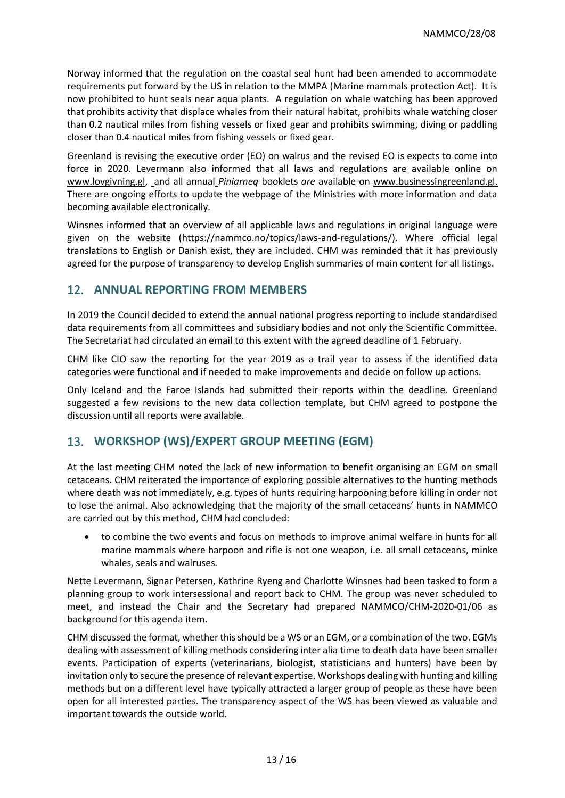Norway informed that the regulation on the coastal seal hunt had been amended to accommodate requirements put forward by the US in relation to the MMPA (Marine mammals protection Act). It is now prohibited to hunt seals near aqua plants. A regulation on whale watching has been approved that prohibits activity that displace whales from their natural habitat, prohibits whale watching closer than 0.2 nautical miles from fishing vessels or fixed gear and prohibits swimming, diving or paddling closer than 0.4 nautical miles from fishing vessels or fixed gear.

Greenland is revising the executive order (EO) on walrus and the revised EO is expects to come into force in 2020. Levermann also informed that all laws and regulations are available online on [www.lovgivning.gl,](http://www.lovgivning.gl/) and all annual *Piniarneq* booklets *are* available on [www.businessingreenland.gl.](http://www.businessingreenland.gl/) There are ongoing efforts to update the webpage of the Ministries with more information and data becoming available electronically.

Winsnes informed that an overview of all applicable laws and regulations in original language were given on the website [\(https://nammco.no/topics/laws-and-regulations/\)](https://nammco.no/topics/laws-and-regulations/). Where official legal translations to English or Danish exist, they are included. CHM was reminded that it has previously agreed for the purpose of transparency to develop English summaries of main content for all listings.

# 12. **ANNUAL REPORTING FROM MEMBERS**

In 2019 the Council decided to extend the annual national progress reporting to include standardised data requirements from all committees and subsidiary bodies and not only the Scientific Committee. The Secretariat had circulated an email to this extent with the agreed deadline of 1 February.

CHM like CIO saw the reporting for the year 2019 as a trail year to assess if the identified data categories were functional and if needed to make improvements and decide on follow up actions.

Only Iceland and the Faroe Islands had submitted their reports within the deadline. Greenland suggested a few revisions to the new data collection template, but CHM agreed to postpone the discussion until all reports were available.

# 13. **WORKSHOP (WS)/EXPERT GROUP MEETING (EGM)**

At the last meeting CHM noted the lack of new information to benefit organising an EGM on small cetaceans. CHM reiterated the importance of exploring possible alternatives to the hunting methods where death was not immediately, e.g. types of hunts requiring harpooning before killing in order not to lose the animal. Also acknowledging that the majority of the small cetaceans' hunts in NAMMCO are carried out by this method, CHM had concluded:

• to combine the two events and focus on methods to improve animal welfare in hunts for all marine mammals where harpoon and rifle is not one weapon, i.e. all small cetaceans, minke whales, seals and walruses.

Nette Levermann, Signar Petersen, Kathrine Ryeng and Charlotte Winsnes had been tasked to form a planning group to work intersessional and report back to CHM. The group was never scheduled to meet, and instead the Chair and the Secretary had prepared NAMMCO/CHM-2020-01/06 as background for this agenda item.

CHM discussed the format, whether this should be a WS or an EGM, or a combination of the two. EGMs dealing with assessment of killing methods considering inter alia time to death data have been smaller events. Participation of experts (veterinarians, biologist, statisticians and hunters) have been by invitation only to secure the presence of relevant expertise. Workshops dealing with hunting and killing methods but on a different level have typically attracted a larger group of people as these have been open for all interested parties. The transparency aspect of the WS has been viewed as valuable and important towards the outside world.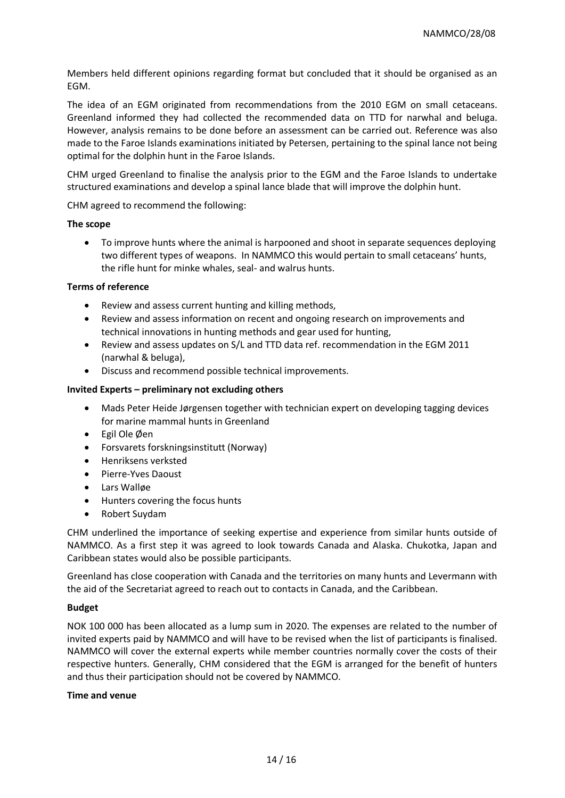Members held different opinions regarding format but concluded that it should be organised as an EGM.

The idea of an EGM originated from recommendations from the 2010 EGM on small cetaceans. Greenland informed they had collected the recommended data on TTD for narwhal and beluga. However, analysis remains to be done before an assessment can be carried out. Reference was also made to the Faroe Islands examinations initiated by Petersen, pertaining to the spinal lance not being optimal for the dolphin hunt in the Faroe Islands.

CHM urged Greenland to finalise the analysis prior to the EGM and the Faroe Islands to undertake structured examinations and develop a spinal lance blade that will improve the dolphin hunt.

CHM agreed to recommend the following:

#### **The scope**

• To improve hunts where the animal is harpooned and shoot in separate sequences deploying two different types of weapons. In NAMMCO this would pertain to small cetaceans' hunts, the rifle hunt for minke whales, seal- and walrus hunts.

### **Terms of reference**

- Review and assess current hunting and killing methods,
- Review and assess information on recent and ongoing research on improvements and technical innovations in hunting methods and gear used for hunting,
- Review and assess updates on S/L and TTD data ref. recommendation in the EGM 2011 (narwhal & beluga),
- Discuss and recommend possible technical improvements.

### **Invited Experts – preliminary not excluding others**

- Mads Peter Heide Jørgensen together with technician expert on developing tagging devices for marine mammal hunts in Greenland
- Egil Ole Øen
- Forsvarets forskningsinstitutt (Norway)
- Henriksens verksted
- Pierre-Yves Daoust
- Lars Walløe
- Hunters covering the focus hunts
- Robert Suydam

CHM underlined the importance of seeking expertise and experience from similar hunts outside of NAMMCO. As a first step it was agreed to look towards Canada and Alaska. Chukotka, Japan and Caribbean states would also be possible participants.

Greenland has close cooperation with Canada and the territories on many hunts and Levermann with the aid of the Secretariat agreed to reach out to contacts in Canada, and the Caribbean.

### **Budget**

NOK 100 000 has been allocated as a lump sum in 2020. The expenses are related to the number of invited experts paid by NAMMCO and will have to be revised when the list of participants is finalised. NAMMCO will cover the external experts while member countries normally cover the costs of their respective hunters. Generally, CHM considered that the EGM is arranged for the benefit of hunters and thus their participation should not be covered by NAMMCO.

#### **Time and venue**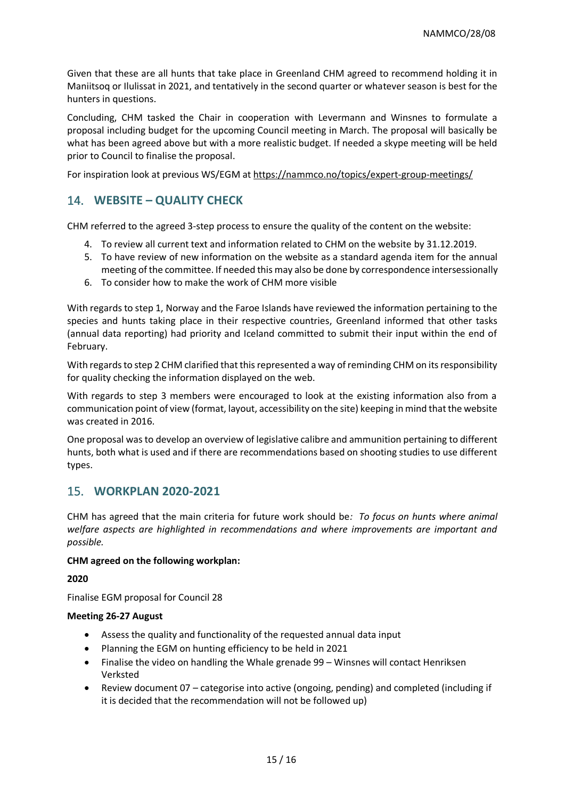Given that these are all hunts that take place in Greenland CHM agreed to recommend holding it in Maniitsoq or Ilulissat in 2021, and tentatively in the second quarter or whatever season is best for the hunters in questions.

Concluding, CHM tasked the Chair in cooperation with Levermann and Winsnes to formulate a proposal including budget for the upcoming Council meeting in March. The proposal will basically be what has been agreed above but with a more realistic budget. If needed a skype meeting will be held prior to Council to finalise the proposal.

For inspiration look at previous WS/EGM at<https://nammco.no/topics/expert-group-meetings/>

# 14. **WEBSITE – QUALITY CHECK**

CHM referred to the agreed 3-step process to ensure the quality of the content on the website:

- 4. To review all current text and information related to CHM on the website by 31.12.2019.
- 5. To have review of new information on the website as a standard agenda item for the annual meeting of the committee. If needed this may also be done by correspondence intersessionally
- 6. To consider how to make the work of CHM more visible

With regards to step 1, Norway and the Faroe Islands have reviewed the information pertaining to the species and hunts taking place in their respective countries, Greenland informed that other tasks (annual data reporting) had priority and Iceland committed to submit their input within the end of February.

With regards to step 2 CHM clarified that this represented a way of reminding CHM on its responsibility for quality checking the information displayed on the web.

With regards to step 3 members were encouraged to look at the existing information also from a communication point of view (format, layout, accessibility on the site) keeping in mind that the website was created in 2016.

One proposal was to develop an overview of legislative calibre and ammunition pertaining to different hunts, both what is used and if there are recommendations based on shooting studies to use different types.

# 15. **WORKPLAN 2020-2021**

CHM has agreed that the main criteria for future work should be*: To focus on hunts where animal welfare aspects are highlighted in recommendations and where improvements are important and possible.*

### **CHM agreed on the following workplan:**

**2020**

Finalise EGM proposal for Council 28

### **Meeting 26-27 August**

- Assess the quality and functionality of the requested annual data input
- Planning the EGM on hunting efficiency to be held in 2021
- Finalise the video on handling the Whale grenade 99 Winsnes will contact Henriksen Verksted
- Review document 07 categorise into active (ongoing, pending) and completed (including if it is decided that the recommendation will not be followed up)